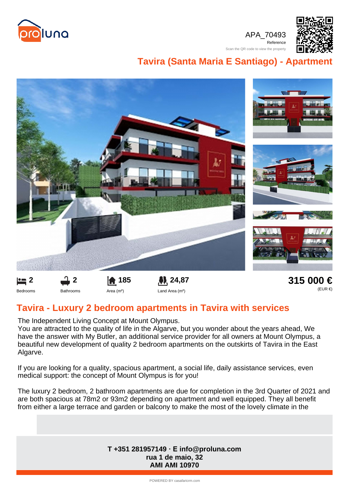

APA\_70493 Reference

Scan the QR code to view the property



## **Tavira (Santa Maria E Santiago) - Apartment**



## **Tavira - Luxury 2 bedroom apartments in Tavira with services**

The Independent Living Concept at Mount Olympus.

You are attracted to the quality of life in the Algarve, but you wonder about the years ahead, We have the answer with My Butler, an additional service provider for all owners at Mount Olympus, a beautiful new development of quality 2 bedroom apartments on the outskirts of Tavira in the East Algarve.

If you are looking for a quality, spacious apartment, a social life, daily assistance services, even medical support: the concept of Mount Olympus is for you!

The luxury 2 bedroom, 2 bathroom apartments are due for completion in the 3rd Quarter of 2021 and are both spacious at 78m2 or 93m2 depending on apartment and well equipped. They all benefit from either a large terrace and garden or balcony to make the most of the lovely climate in the